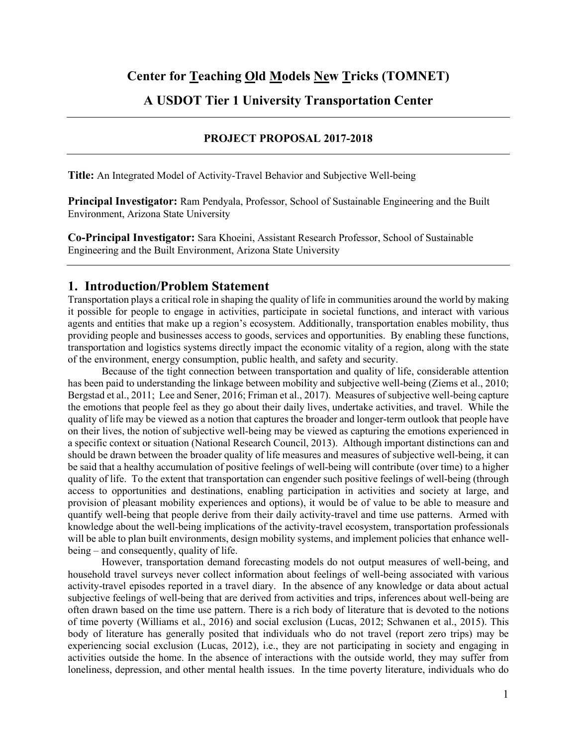# **A USDOT Tier 1 University Transportation Center**

#### **PROJECT PROPOSAL 2017-2018**

**Title:** An Integrated Model of Activity-Travel Behavior and Subjective Well-being

**Principal Investigator:** Ram Pendyala, Professor, School of Sustainable Engineering and the Built Environment, Arizona State University

**Co-Principal Investigator:** Sara Khoeini, Assistant Research Professor, School of Sustainable Engineering and the Built Environment, Arizona State University

#### **1. Introduction/Problem Statement**

Transportation plays a critical role in shaping the quality of life in communities around the world by making it possible for people to engage in activities, participate in societal functions, and interact with various agents and entities that make up a region's ecosystem. Additionally, transportation enables mobility, thus providing people and businesses access to goods, services and opportunities. By enabling these functions, transportation and logistics systems directly impact the economic vitality of a region, along with the state of the environment, energy consumption, public health, and safety and security.

Because of the tight connection between transportation and quality of life, considerable attention has been paid to understanding the linkage between mobility and subjective well-being (Ziems et al., 2010; Bergstad et al., 2011; Lee and Sener, 2016; Friman et al., 2017). Measures of subjective well-being capture the emotions that people feel as they go about their daily lives, undertake activities, and travel. While the quality of life may be viewed as a notion that captures the broader and longer-term outlook that people have on their lives, the notion of subjective well-being may be viewed as capturing the emotions experienced in a specific context or situation (National Research Council, 2013). Although important distinctions can and should be drawn between the broader quality of life measures and measures of subjective well-being, it can be said that a healthy accumulation of positive feelings of well-being will contribute (over time) to a higher quality of life. To the extent that transportation can engender such positive feelings of well-being (through access to opportunities and destinations, enabling participation in activities and society at large, and provision of pleasant mobility experiences and options), it would be of value to be able to measure and quantify well-being that people derive from their daily activity-travel and time use patterns. Armed with knowledge about the well-being implications of the activity-travel ecosystem, transportation professionals will be able to plan built environments, design mobility systems, and implement policies that enhance wellbeing – and consequently, quality of life.

However, transportation demand forecasting models do not output measures of well-being, and household travel surveys never collect information about feelings of well-being associated with various activity-travel episodes reported in a travel diary. In the absence of any knowledge or data about actual subjective feelings of well-being that are derived from activities and trips, inferences about well-being are often drawn based on the time use pattern. There is a rich body of literature that is devoted to the notions of time poverty (Williams et al., 2016) and social exclusion (Lucas, 2012; Schwanen et al., 2015). This body of literature has generally posited that individuals who do not travel (report zero trips) may be experiencing social exclusion (Lucas, 2012), i.e., they are not participating in society and engaging in activities outside the home. In the absence of interactions with the outside world, they may suffer from loneliness, depression, and other mental health issues. In the time poverty literature, individuals who do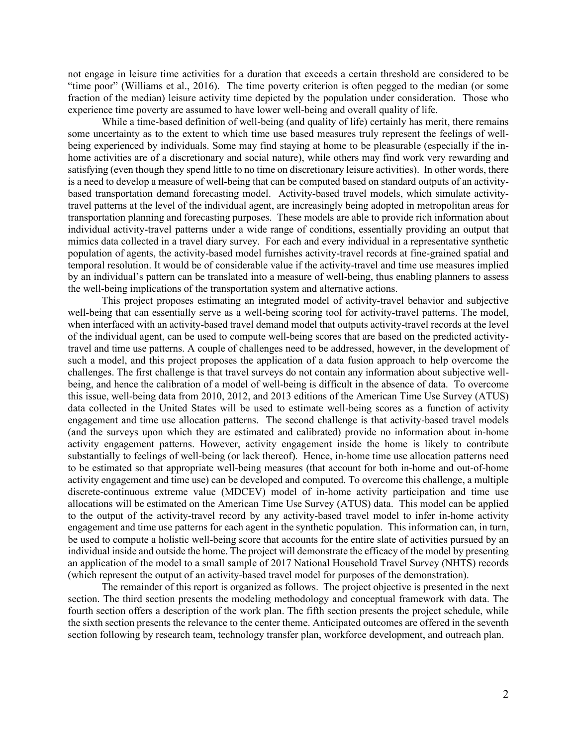not engage in leisure time activities for a duration that exceeds a certain threshold are considered to be "time poor" (Williams et al., 2016). The time poverty criterion is often pegged to the median (or some fraction of the median) leisure activity time depicted by the population under consideration. Those who experience time poverty are assumed to have lower well-being and overall quality of life.

While a time-based definition of well-being (and quality of life) certainly has merit, there remains some uncertainty as to the extent to which time use based measures truly represent the feelings of wellbeing experienced by individuals. Some may find staying at home to be pleasurable (especially if the inhome activities are of a discretionary and social nature), while others may find work very rewarding and satisfying (even though they spend little to no time on discretionary leisure activities). In other words, there is a need to develop a measure of well-being that can be computed based on standard outputs of an activitybased transportation demand forecasting model. Activity-based travel models, which simulate activitytravel patterns at the level of the individual agent, are increasingly being adopted in metropolitan areas for transportation planning and forecasting purposes. These models are able to provide rich information about individual activity-travel patterns under a wide range of conditions, essentially providing an output that mimics data collected in a travel diary survey. For each and every individual in a representative synthetic population of agents, the activity-based model furnishes activity-travel records at fine-grained spatial and temporal resolution. It would be of considerable value if the activity-travel and time use measures implied by an individual's pattern can be translated into a measure of well-being, thus enabling planners to assess the well-being implications of the transportation system and alternative actions.

This project proposes estimating an integrated model of activity-travel behavior and subjective well-being that can essentially serve as a well-being scoring tool for activity-travel patterns. The model, when interfaced with an activity-based travel demand model that outputs activity-travel records at the level of the individual agent, can be used to compute well-being scores that are based on the predicted activitytravel and time use patterns. A couple of challenges need to be addressed, however, in the development of such a model, and this project proposes the application of a data fusion approach to help overcome the challenges. The first challenge is that travel surveys do not contain any information about subjective wellbeing, and hence the calibration of a model of well-being is difficult in the absence of data. To overcome this issue, well-being data from 2010, 2012, and 2013 editions of the American Time Use Survey (ATUS) data collected in the United States will be used to estimate well-being scores as a function of activity engagement and time use allocation patterns. The second challenge is that activity-based travel models (and the surveys upon which they are estimated and calibrated) provide no information about in-home activity engagement patterns. However, activity engagement inside the home is likely to contribute substantially to feelings of well-being (or lack thereof). Hence, in-home time use allocation patterns need to be estimated so that appropriate well-being measures (that account for both in-home and out-of-home activity engagement and time use) can be developed and computed. To overcome this challenge, a multiple discrete-continuous extreme value (MDCEV) model of in-home activity participation and time use allocations will be estimated on the American Time Use Survey (ATUS) data. This model can be applied to the output of the activity-travel record by any activity-based travel model to infer in-home activity engagement and time use patterns for each agent in the synthetic population. This information can, in turn, be used to compute a holistic well-being score that accounts for the entire slate of activities pursued by an individual inside and outside the home. The project will demonstrate the efficacy of the model by presenting an application of the model to a small sample of 2017 National Household Travel Survey (NHTS) records (which represent the output of an activity-based travel model for purposes of the demonstration).

The remainder of this report is organized as follows. The project objective is presented in the next section. The third section presents the modeling methodology and conceptual framework with data. The fourth section offers a description of the work plan. The fifth section presents the project schedule, while the sixth section presents the relevance to the center theme. Anticipated outcomes are offered in the seventh section following by research team, technology transfer plan, workforce development, and outreach plan.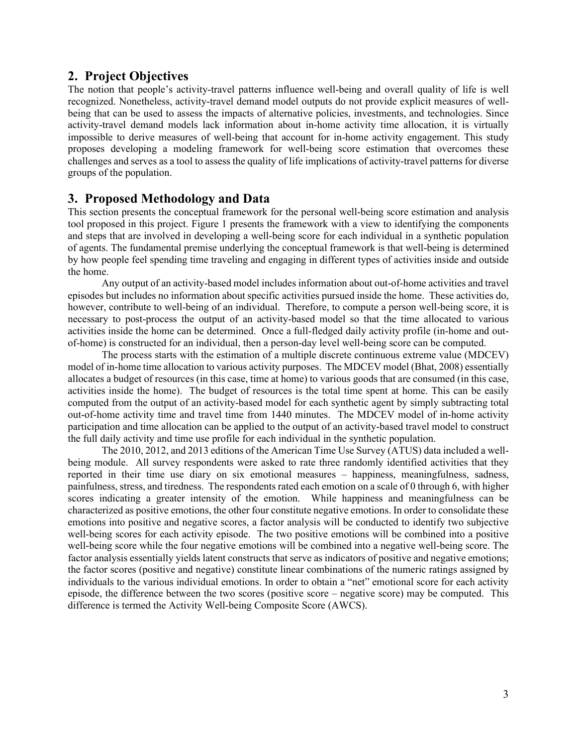## **2. Project Objectives**

The notion that people's activity-travel patterns influence well-being and overall quality of life is well recognized. Nonetheless, activity-travel demand model outputs do not provide explicit measures of wellbeing that can be used to assess the impacts of alternative policies, investments, and technologies. Since activity-travel demand models lack information about in-home activity time allocation, it is virtually impossible to derive measures of well-being that account for in-home activity engagement. This study proposes developing a modeling framework for well-being score estimation that overcomes these challenges and serves as a tool to assess the quality of life implications of activity-travel patterns for diverse groups of the population.

# **3. Proposed Methodology and Data**

This section presents the conceptual framework for the personal well-being score estimation and analysis tool proposed in this project. Figure 1 presents the framework with a view to identifying the components and steps that are involved in developing a well-being score for each individual in a synthetic population of agents. The fundamental premise underlying the conceptual framework is that well-being is determined by how people feel spending time traveling and engaging in different types of activities inside and outside the home.

 Any output of an activity-based model includes information about out-of-home activities and travel episodes but includes no information about specific activities pursued inside the home. These activities do, however, contribute to well-being of an individual. Therefore, to compute a person well-being score, it is necessary to post-process the output of an activity-based model so that the time allocated to various activities inside the home can be determined. Once a full-fledged daily activity profile (in-home and outof-home) is constructed for an individual, then a person-day level well-being score can be computed.

 The process starts with the estimation of a multiple discrete continuous extreme value (MDCEV) model of in-home time allocation to various activity purposes. The MDCEV model (Bhat, 2008) essentially allocates a budget of resources (in this case, time at home) to various goods that are consumed (in this case, activities inside the home). The budget of resources is the total time spent at home. This can be easily computed from the output of an activity-based model for each synthetic agent by simply subtracting total out-of-home activity time and travel time from 1440 minutes. The MDCEV model of in-home activity participation and time allocation can be applied to the output of an activity-based travel model to construct the full daily activity and time use profile for each individual in the synthetic population.

The 2010, 2012, and 2013 editions of the American Time Use Survey (ATUS) data included a wellbeing module. All survey respondents were asked to rate three randomly identified activities that they reported in their time use diary on six emotional measures – happiness, meaningfulness, sadness, painfulness, stress, and tiredness. The respondents rated each emotion on a scale of 0 through 6, with higher scores indicating a greater intensity of the emotion. While happiness and meaningfulness can be characterized as positive emotions, the other four constitute negative emotions. In order to consolidate these emotions into positive and negative scores, a factor analysis will be conducted to identify two subjective well-being scores for each activity episode. The two positive emotions will be combined into a positive well-being score while the four negative emotions will be combined into a negative well-being score. The factor analysis essentially yields latent constructs that serve as indicators of positive and negative emotions; the factor scores (positive and negative) constitute linear combinations of the numeric ratings assigned by individuals to the various individual emotions. In order to obtain a "net" emotional score for each activity episode, the difference between the two scores (positive score – negative score) may be computed. This difference is termed the Activity Well-being Composite Score (AWCS).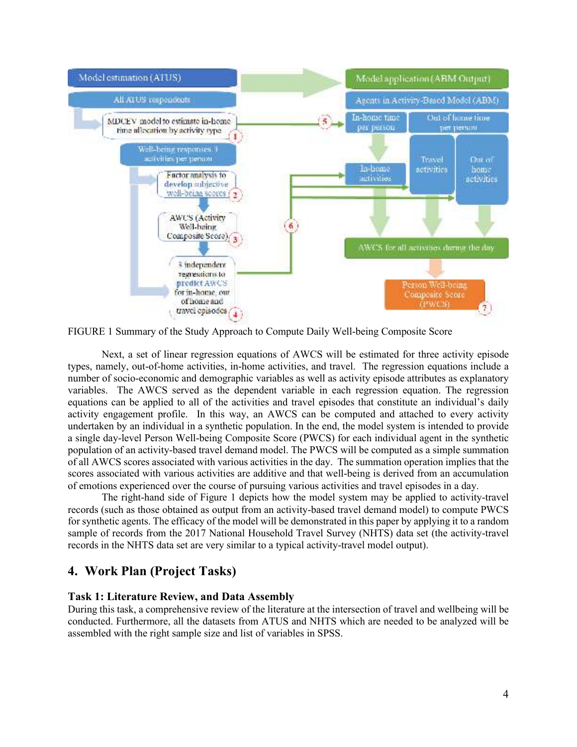

FIGURE 1 Summary of the Study Approach to Compute Daily Well-being Composite Score

Next, a set of linear regression equations of AWCS will be estimated for three activity episode types, namely, out-of-home activities, in-home activities, and travel. The regression equations include a number of socio-economic and demographic variables as well as activity episode attributes as explanatory variables. The AWCS served as the dependent variable in each regression equation. The regression equations can be applied to all of the activities and travel episodes that constitute an individual's daily activity engagement profile. In this way, an AWCS can be computed and attached to every activity undertaken by an individual in a synthetic population. In the end, the model system is intended to provide a single day-level Person Well-being Composite Score (PWCS) for each individual agent in the synthetic population of an activity-based travel demand model. The PWCS will be computed as a simple summation of all AWCS scores associated with various activities in the day. The summation operation implies that the scores associated with various activities are additive and that well-being is derived from an accumulation of emotions experienced over the course of pursuing various activities and travel episodes in a day.

The right-hand side of Figure 1 depicts how the model system may be applied to activity-travel records (such as those obtained as output from an activity-based travel demand model) to compute PWCS for synthetic agents. The efficacy of the model will be demonstrated in this paper by applying it to a random sample of records from the 2017 National Household Travel Survey (NHTS) data set (the activity-travel records in the NHTS data set are very similar to a typical activity-travel model output).

# **4. Work Plan (Project Tasks)**

#### **Task 1: Literature Review, and Data Assembly**

During this task, a comprehensive review of the literature at the intersection of travel and wellbeing will be conducted. Furthermore, all the datasets from ATUS and NHTS which are needed to be analyzed will be assembled with the right sample size and list of variables in SPSS.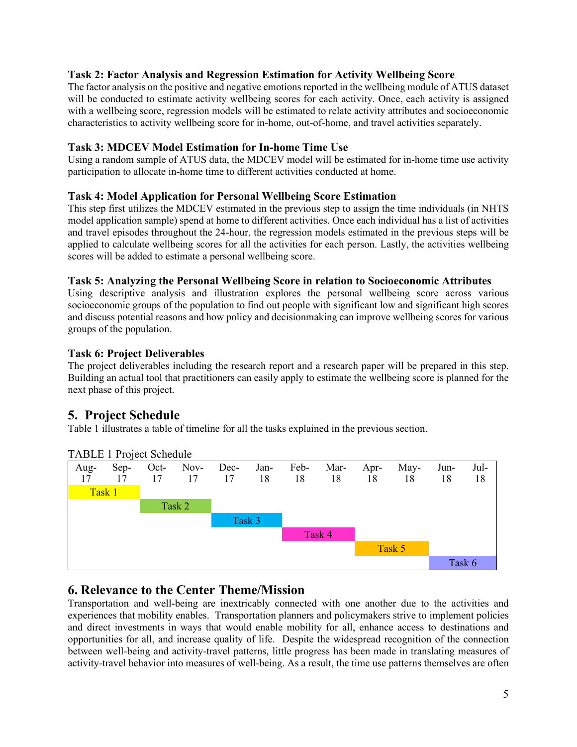## **Task 2: Factor Analysis and Regression Estimation for Activity Wellbeing Score**

The factor analysis on the positive and negative emotions reported in the wellbeing module of ATUS dataset will be conducted to estimate activity wellbeing scores for each activity. Once, each activity is assigned with a wellbeing score, regression models will be estimated to relate activity attributes and socioeconomic characteristics to activity wellbeing score for in-home, out-of-home, and travel activities separately.

#### **Task 3: MDCEV Model Estimation for In-home Time Use**

Using a random sample of ATUS data, the MDCEV model will be estimated for in-home time use activity participation to allocate in-home time to different activities conducted at home.

#### **Task 4: Model Application for Personal Wellbeing Score Estimation**

This step first utilizes the MDCEV estimated in the previous step to assign the time individuals (in NHTS model application sample) spend at home to different activities. Once each individual has a list of activities and travel episodes throughout the 24-hour, the regression models estimated in the previous steps will be applied to calculate wellbeing scores for all the activities for each person. Lastly, the activities wellbeing scores will be added to estimate a personal wellbeing score.

#### **Task 5: Analyzing the Personal Wellbeing Score in relation to Socioeconomic Attributes**

Using descriptive analysis and illustration explores the personal wellbeing score across various socioeconomic groups of the population to find out people with significant low and significant high scores and discuss potential reasons and how policy and decisionmaking can improve wellbeing scores for various groups of the population.

#### **Task 6: Project Deliverables**

The project deliverables including the research report and a research paper will be prepared in this step. Building an actual tool that practitioners can easily apply to estimate the wellbeing score is planned for the next phase of this project.

# **5. Project Schedule**

Table 1 illustrates a table of timeline for all the tasks explained in the previous section.



TABLE 1 Project Schedule

# **6. Relevance to the Center Theme/Mission**

Transportation and well-being are inextricably connected with one another due to the activities and experiences that mobility enables. Transportation planners and policymakers strive to implement policies and direct investments in ways that would enable mobility for all, enhance access to destinations and opportunities for all, and increase quality of life. Despite the widespread recognition of the connection between well-being and activity-travel patterns, little progress has been made in translating measures of activity-travel behavior into measures of well-being. As a result, the time use patterns themselves are often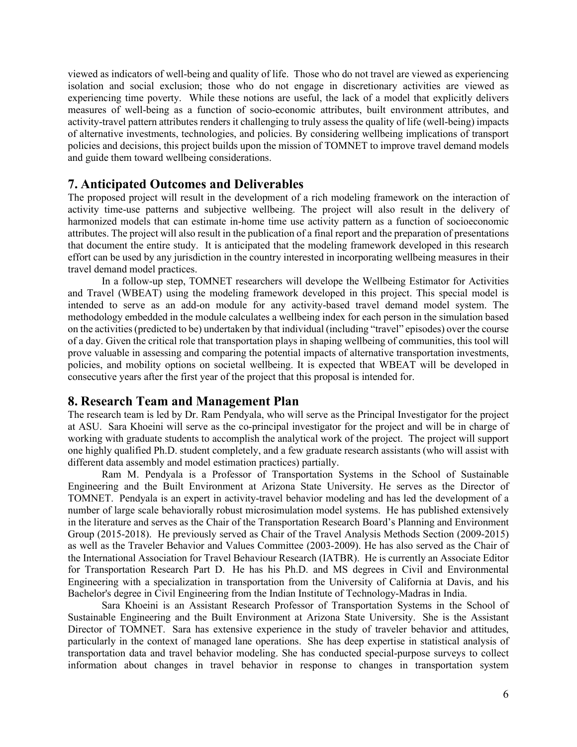viewed as indicators of well-being and quality of life. Those who do not travel are viewed as experiencing isolation and social exclusion; those who do not engage in discretionary activities are viewed as experiencing time poverty. While these notions are useful, the lack of a model that explicitly delivers measures of well-being as a function of socio-economic attributes, built environment attributes, and activity-travel pattern attributes renders it challenging to truly assess the quality of life (well-being) impacts of alternative investments, technologies, and policies. By considering wellbeing implications of transport policies and decisions, this project builds upon the mission of TOMNET to improve travel demand models and guide them toward wellbeing considerations.

#### **7. Anticipated Outcomes and Deliverables**

The proposed project will result in the development of a rich modeling framework on the interaction of activity time-use patterns and subjective wellbeing. The project will also result in the delivery of harmonized models that can estimate in-home time use activity pattern as a function of socioeconomic attributes. The project will also result in the publication of a final report and the preparation of presentations that document the entire study. It is anticipated that the modeling framework developed in this research effort can be used by any jurisdiction in the country interested in incorporating wellbeing measures in their travel demand model practices.

In a follow-up step, TOMNET researchers will develope the Wellbeing Estimator for Activities and Travel (WBEAT) using the modeling framework developed in this project. This special model is intended to serve as an add-on module for any activity-based travel demand model system. The methodology embedded in the module calculates a wellbeing index for each person in the simulation based on the activities (predicted to be) undertaken by that individual (including "travel" episodes) over the course of a day. Given the critical role that transportation plays in shaping wellbeing of communities, this tool will prove valuable in assessing and comparing the potential impacts of alternative transportation investments, policies, and mobility options on societal wellbeing. It is expected that WBEAT will be developed in consecutive years after the first year of the project that this proposal is intended for.

# **8. Research Team and Management Plan**

The research team is led by Dr. Ram Pendyala, who will serve as the Principal Investigator for the project at ASU. Sara Khoeini will serve as the co-principal investigator for the project and will be in charge of working with graduate students to accomplish the analytical work of the project. The project will support one highly qualified Ph.D. student completely, and a few graduate research assistants (who will assist with different data assembly and model estimation practices) partially.

Ram M. Pendyala is a Professor of Transportation Systems in the School of Sustainable Engineering and the Built Environment at Arizona State University. He serves as the Director of TOMNET. Pendyala is an expert in activity-travel behavior modeling and has led the development of a number of large scale behaviorally robust microsimulation model systems. He has published extensively in the literature and serves as the Chair of the Transportation Research Board's Planning and Environment Group (2015-2018). He previously served as Chair of the Travel Analysis Methods Section (2009-2015) as well as the Traveler Behavior and Values Committee (2003-2009). He has also served as the Chair of the International Association for Travel Behaviour Research (IATBR). He is currently an Associate Editor for Transportation Research Part D. He has his Ph.D. and MS degrees in Civil and Environmental Engineering with a specialization in transportation from the University of California at Davis, and his Bachelor's degree in Civil Engineering from the Indian Institute of Technology-Madras in India.

Sara Khoeini is an Assistant Research Professor of Transportation Systems in the School of Sustainable Engineering and the Built Environment at Arizona State University. She is the Assistant Director of TOMNET. Sara has extensive experience in the study of traveler behavior and attitudes, particularly in the context of managed lane operations. She has deep expertise in statistical analysis of transportation data and travel behavior modeling. She has conducted special-purpose surveys to collect information about changes in travel behavior in response to changes in transportation system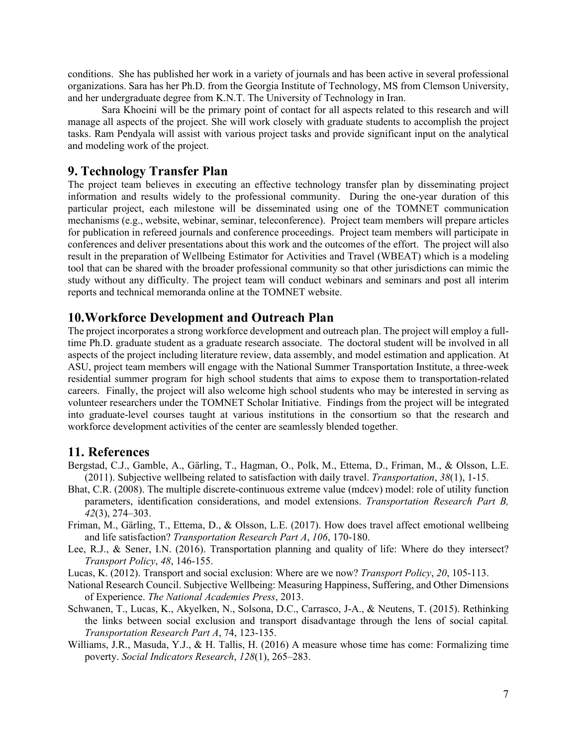conditions. She has published her work in a variety of journals and has been active in several professional organizations. Sara has her Ph.D. from the Georgia Institute of Technology, MS from Clemson University, and her undergraduate degree from K.N.T. The University of Technology in Iran.

Sara Khoeini will be the primary point of contact for all aspects related to this research and will manage all aspects of the project. She will work closely with graduate students to accomplish the project tasks. Ram Pendyala will assist with various project tasks and provide significant input on the analytical and modeling work of the project.

#### **9. Technology Transfer Plan**

The project team believes in executing an effective technology transfer plan by disseminating project information and results widely to the professional community. During the one-year duration of this particular project, each milestone will be disseminated using one of the TOMNET communication mechanisms (e.g., website, webinar, seminar, teleconference). Project team members will prepare articles for publication in refereed journals and conference proceedings. Project team members will participate in conferences and deliver presentations about this work and the outcomes of the effort. The project will also result in the preparation of Wellbeing Estimator for Activities and Travel (WBEAT) which is a modeling tool that can be shared with the broader professional community so that other jurisdictions can mimic the study without any difficulty. The project team will conduct webinars and seminars and post all interim reports and technical memoranda online at the TOMNET website.

#### **10.Workforce Development and Outreach Plan**

The project incorporates a strong workforce development and outreach plan. The project will employ a fulltime Ph.D. graduate student as a graduate research associate. The doctoral student will be involved in all aspects of the project including literature review, data assembly, and model estimation and application. At ASU, project team members will engage with the National Summer Transportation Institute, a three-week residential summer program for high school students that aims to expose them to transportation-related careers. Finally, the project will also welcome high school students who may be interested in serving as volunteer researchers under the TOMNET Scholar Initiative. Findings from the project will be integrated into graduate-level courses taught at various institutions in the consortium so that the research and workforce development activities of the center are seamlessly blended together.

#### **11. References**

- Bergstad, C.J., Gamble, A., Gärling, T., Hagman, O., Polk, M., Ettema, D., Friman, M., & Olsson, L.E. (2011). Subjective wellbeing related to satisfaction with daily travel. *Transportation*, *38*(1), 1-15.
- Bhat, C.R. (2008). The multiple discrete-continuous extreme value (mdcev) model: role of utility function parameters, identification considerations, and model extensions. *Transportation Research Part B, 42*(3), 274–303.
- Friman, M., Gärling, T., Ettema, D., & Olsson, L.E. (2017). How does travel affect emotional wellbeing and life satisfaction? *Transportation Research Part A*, *106*, 170-180.
- Lee, R.J., & Sener, I.N. (2016). Transportation planning and quality of life: Where do they intersect? *Transport Policy*, *48*, 146-155.
- Lucas, K. (2012). Transport and social exclusion: Where are we now? *Transport Policy*, *20*, 105-113.
- National Research Council. Subjective Wellbeing: Measuring Happiness, Suffering, and Other Dimensions of Experience. *The National Academies Press*, 2013.
- Schwanen, T., Lucas, K., Akyelken, N., Solsona, D.C., Carrasco, J-A., & Neutens, T. (2015). Rethinking the links between social exclusion and transport disadvantage through the lens of social capital*. Transportation Research Part A*, 74, 123-135.
- Williams, J.R., Masuda, Y.J., & H. Tallis, H. (2016) A measure whose time has come: Formalizing time poverty. *Social Indicators Research*, *128*(1), 265–283.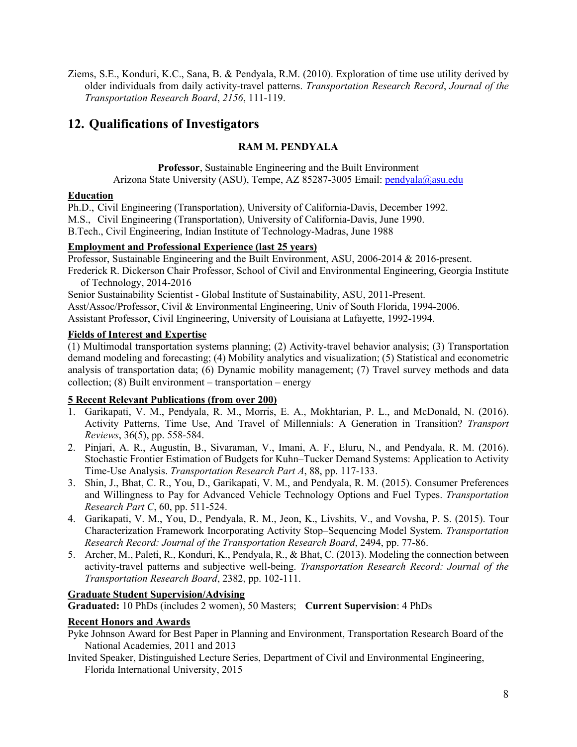Ziems, S.E., Konduri, K.C., Sana, B. & Pendyala, R.M. (2010). Exploration of time use utility derived by older individuals from daily activity-travel patterns. *Transportation Research Record*, *Journal of the Transportation Research Board*, *2156*, 111-119.

# **12. Qualifications of Investigators**

### **RAM M. PENDYALA**

**Professor**, Sustainable Engineering and the Built Environment Arizona State University (ASU), Tempe, AZ 85287-3005 Email: pendyala@asu.edu

#### **Education**

Ph.D., Civil Engineering (Transportation), University of California-Davis, December 1992. M.S., Civil Engineering (Transportation), University of California-Davis, June 1990. B.Tech., Civil Engineering, Indian Institute of Technology-Madras, June 1988

## **Employment and Professional Experience (last 25 years)**

Professor, Sustainable Engineering and the Built Environment, ASU, 2006-2014 & 2016-present.

Frederick R. Dickerson Chair Professor, School of Civil and Environmental Engineering, Georgia Institute of Technology, 2014-2016

Senior Sustainability Scientist - Global Institute of Sustainability, ASU, 2011-Present. Asst/Assoc/Professor, Civil & Environmental Engineering, Univ of South Florida, 1994-2006. Assistant Professor, Civil Engineering, University of Louisiana at Lafayette, 1992-1994.

# **Fields of Interest and Expertise**

(1) Multimodal transportation systems planning; (2) Activity-travel behavior analysis; (3) Transportation demand modeling and forecasting; (4) Mobility analytics and visualization; (5) Statistical and econometric analysis of transportation data; (6) Dynamic mobility management; (7) Travel survey methods and data collection;  $(8)$  Built environment – transportation – energy

# **5 Recent Relevant Publications (from over 200)**

- 1. Garikapati, V. M., Pendyala, R. M., Morris, E. A., Mokhtarian, P. L., and McDonald, N. (2016). Activity Patterns, Time Use, And Travel of Millennials: A Generation in Transition? *Transport Reviews*, 36(5), pp. 558-584.
- 2. Pinjari, A. R., Augustin, B., Sivaraman, V., Imani, A. F., Eluru, N., and Pendyala, R. M. (2016). Stochastic Frontier Estimation of Budgets for Kuhn–Tucker Demand Systems: Application to Activity Time-Use Analysis. *Transportation Research Part A*, 88, pp. 117-133.
- 3. Shin, J., Bhat, C. R., You, D., Garikapati, V. M., and Pendyala, R. M. (2015). Consumer Preferences and Willingness to Pay for Advanced Vehicle Technology Options and Fuel Types. *Transportation Research Part C*, 60, pp. 511-524.
- 4. Garikapati, V. M., You, D., Pendyala, R. M., Jeon, K., Livshits, V., and Vovsha, P. S. (2015). Tour Characterization Framework Incorporating Activity Stop–Sequencing Model System. *Transportation Research Record: Journal of the Transportation Research Board*, 2494, pp. 77-86.
- 5. Archer, M., Paleti, R., Konduri, K., Pendyala, R., & Bhat, C. (2013). Modeling the connection between activity-travel patterns and subjective well-being. *Transportation Research Record: Journal of the Transportation Research Board*, 2382, pp. 102-111.

# **Graduate Student Supervision/Advising**

**Graduated:** 10 PhDs (includes 2 women), 50 Masters; **Current Supervision**: 4 PhDs

# **Recent Honors and Awards**

- Pyke Johnson Award for Best Paper in Planning and Environment, Transportation Research Board of the National Academies, 2011 and 2013
- Invited Speaker, Distinguished Lecture Series, Department of Civil and Environmental Engineering, Florida International University, 2015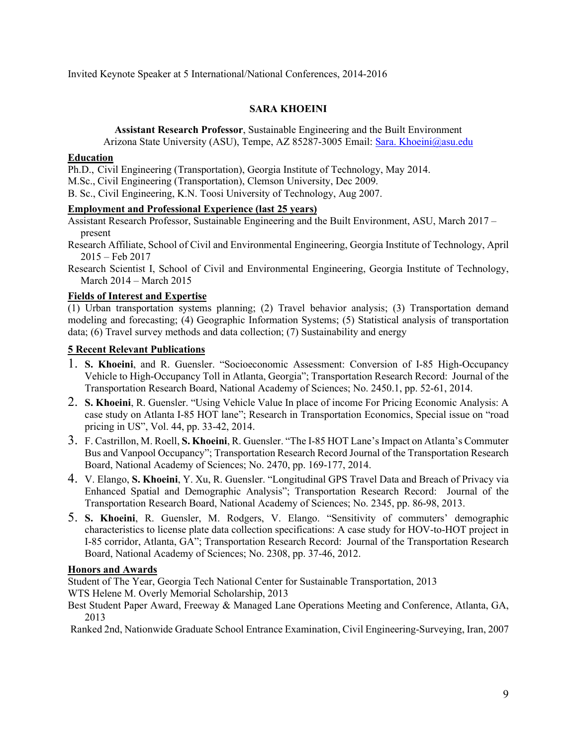Invited Keynote Speaker at 5 International/National Conferences, 2014-2016

#### **SARA KHOEINI**

**Assistant Research Professor**, Sustainable Engineering and the Built Environment Arizona State University (ASU), Tempe, AZ 85287-3005 Email: Sara. Khoeini@asu.edu

#### **Education**

Ph.D., Civil Engineering (Transportation), Georgia Institute of Technology, May 2014.

M.Sc., Civil Engineering (Transportation), Clemson University, Dec 2009.

B. Sc., Civil Engineering, K.N. Toosi University of Technology, Aug 2007.

#### **Employment and Professional Experience (last 25 years)**

Assistant Research Professor, Sustainable Engineering and the Built Environment, ASU, March 2017 – present

Research Affiliate, School of Civil and Environmental Engineering, Georgia Institute of Technology, April 2015 – Feb 2017

Research Scientist I, School of Civil and Environmental Engineering, Georgia Institute of Technology, March 2014 – March 2015

#### **Fields of Interest and Expertise**

(1) Urban transportation systems planning; (2) Travel behavior analysis; (3) Transportation demand modeling and forecasting; (4) Geographic Information Systems; (5) Statistical analysis of transportation data; (6) Travel survey methods and data collection; (7) Sustainability and energy

#### **5 Recent Relevant Publications**

- 1. **S. Khoeini**, and R. Guensler. "Socioeconomic Assessment: Conversion of I-85 High-Occupancy Vehicle to High-Occupancy Toll in Atlanta, Georgia"; Transportation Research Record: Journal of the Transportation Research Board, National Academy of Sciences; No. 2450.1, pp. 52-61, 2014.
- 2. **S. Khoeini**, R. Guensler. "Using Vehicle Value In place of income For Pricing Economic Analysis: A case study on Atlanta I-85 HOT lane"; Research in Transportation Economics, Special issue on "road pricing in US", Vol. 44, pp. 33-42, 2014.
- 3. F. Castrillon, M. Roell, **S. Khoeini**, R. Guensler. "The I-85 HOT Lane's Impact on Atlanta's Commuter Bus and Vanpool Occupancy"; Transportation Research Record Journal of the Transportation Research Board, National Academy of Sciences; No. 2470, pp. 169-177, 2014.
- 4. V. Elango, **S. Khoeini**, Y. Xu, R. Guensler. "Longitudinal GPS Travel Data and Breach of Privacy via Enhanced Spatial and Demographic Analysis"; Transportation Research Record: Journal of the Transportation Research Board, National Academy of Sciences; No. 2345, pp. 86-98, 2013.
- 5. **S. Khoeini**, R. Guensler, M. Rodgers, V. Elango. "Sensitivity of commuters' demographic characteristics to license plate data collection specifications: A case study for HOV-to-HOT project in I-85 corridor, Atlanta, GA"; Transportation Research Record: Journal of the Transportation Research Board, National Academy of Sciences; No. 2308, pp. 37-46, 2012.

#### **Honors and Awards**

Student of The Year, Georgia Tech National Center for Sustainable Transportation, 2013

WTS Helene M. Overly Memorial Scholarship, 2013

Best Student Paper Award, Freeway & Managed Lane Operations Meeting and Conference, Atlanta, GA, 2013

Ranked 2nd, Nationwide Graduate School Entrance Examination, Civil Engineering-Surveying, Iran, 2007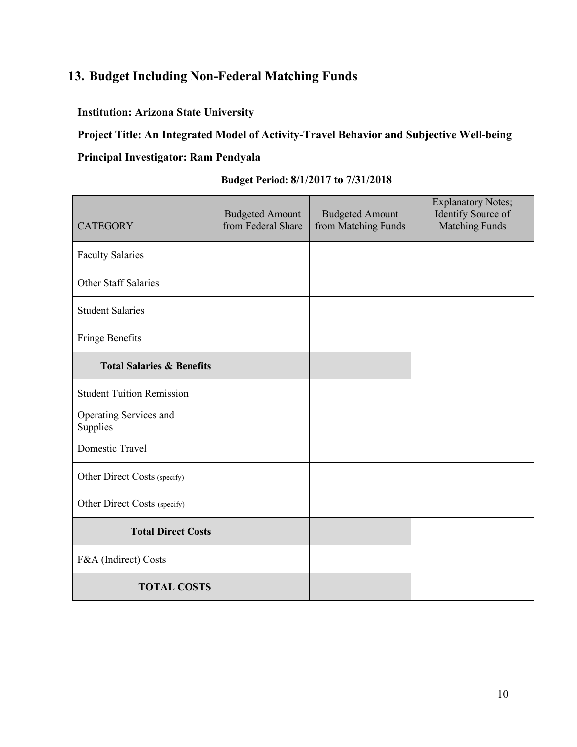# **13. Budget Including Non-Federal Matching Funds**

# **Institution: Arizona State University**

**Project Title: An Integrated Model of Activity-Travel Behavior and Subjective Well-being Principal Investigator: Ram Pendyala**

| <b>CATEGORY</b>                      | <b>Budgeted Amount</b><br>from Federal Share | <b>Budgeted Amount</b><br>from Matching Funds | <b>Explanatory Notes;</b><br>Identify Source of<br><b>Matching Funds</b> |
|--------------------------------------|----------------------------------------------|-----------------------------------------------|--------------------------------------------------------------------------|
| <b>Faculty Salaries</b>              |                                              |                                               |                                                                          |
| <b>Other Staff Salaries</b>          |                                              |                                               |                                                                          |
| <b>Student Salaries</b>              |                                              |                                               |                                                                          |
| Fringe Benefits                      |                                              |                                               |                                                                          |
| <b>Total Salaries &amp; Benefits</b> |                                              |                                               |                                                                          |
| <b>Student Tuition Remission</b>     |                                              |                                               |                                                                          |
| Operating Services and<br>Supplies   |                                              |                                               |                                                                          |
| <b>Domestic Travel</b>               |                                              |                                               |                                                                          |
| Other Direct Costs (specify)         |                                              |                                               |                                                                          |
| Other Direct Costs (specify)         |                                              |                                               |                                                                          |
| <b>Total Direct Costs</b>            |                                              |                                               |                                                                          |
| F&A (Indirect) Costs                 |                                              |                                               |                                                                          |
| <b>TOTAL COSTS</b>                   |                                              |                                               |                                                                          |

# **Budget Period: 8/1/2017 to 7/31/2018**